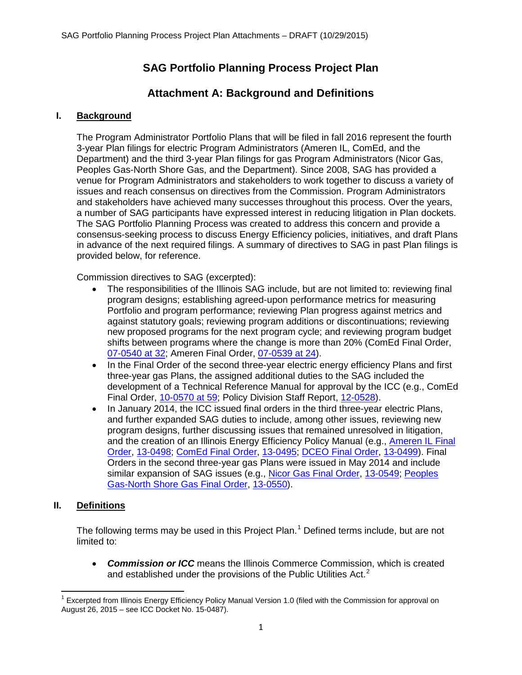# **SAG Portfolio Planning Process Project Plan**

# **Attachment A: Background and Definitions**

## **I. Background**

The Program Administrator Portfolio Plans that will be filed in fall 2016 represent the fourth 3-year Plan filings for electric Program Administrators (Ameren IL, ComEd, and the Department) and the third 3-year Plan filings for gas Program Administrators (Nicor Gas, Peoples Gas-North Shore Gas, and the Department). Since 2008, SAG has provided a venue for Program Administrators and stakeholders to work together to discuss a variety of issues and reach consensus on directives from the Commission. Program Administrators and stakeholders have achieved many successes throughout this process. Over the years, a number of SAG participants have expressed interest in reducing litigation in Plan dockets. The SAG Portfolio Planning Process was created to address this concern and provide a consensus-seeking process to discuss Energy Efficiency policies, initiatives, and draft Plans in advance of the next required filings. A summary of directives to SAG in past Plan filings is provided below, for reference.

Commission directives to SAG (excerpted):

- The responsibilities of the Illinois SAG include, but are not limited to: reviewing final program designs; establishing agreed-upon performance metrics for measuring Portfolio and program performance; reviewing Plan progress against metrics and against statutory goals; reviewing program additions or discontinuations; reviewing new proposed programs for the next program cycle; and reviewing program budget shifts between programs where the change is more than 20% (ComEd Final Order, [07-0540 at 32;](http://www.icc.illinois.gov/docket/files.aspx?no=07-0540&docId=119840) Ameren Final Order, [07-0539 at 24\)](http://www.icc.illinois.gov/docket/files.aspx?no=07-0539&docId=119839).
- In the Final Order of the second three-year electric energy efficiency Plans and first three-year gas Plans, the assigned additional duties to the SAG included the development of a Technical Reference Manual for approval by the ICC (e.g., ComEd Final Order, [10-0570 at 59;](http://www.icc.illinois.gov/docket/files.aspx?no=10-0570&docId=159809) Policy Division Staff Report, [12-0528\)](http://www.icc.illinois.gov/docket/files.aspx?no=12-0528&docId=187554).
- In January 2014, the ICC issued final orders in the third three-year electric Plans, and further expanded SAG duties to include, among other issues, reviewing new program designs, further discussing issues that remained unresolved in litigation, and the creation of an Illinois Energy Efficiency Policy Manual (e.g., [Ameren IL Final](http://ilsagfiles.org/SAG_files/Landing_Page/Ameren_IL_Final_Order_13-0498.pdf)  [Order,](http://ilsagfiles.org/SAG_files/Landing_Page/Ameren_IL_Final_Order_13-0498.pdf) [13-0498;](http://www.icc.illinois.gov/docket/casedetails.aspx?no=13-0498) [ComEd Final Order,](http://ilsagfiles.org/SAG_files/Landing_Page/ComEd_Final_Order_13-0495.pdf) [13-0495;](http://www.icc.illinois.gov/docket/casedetails.aspx?no=13-0495) [DCEO Final Order,](http://ilsagfiles.org/SAG_files/Landing_Page/DCEO_Final_Order_13-0499.pdf) [13-0499\)](http://www.icc.illinois.gov/docket/casedetails.aspx?no=13-0499). Final Orders in the second three-year gas Plans were issued in May 2014 and include similar expansion of SAG issues (e.g., [Nicor Gas Final Order,](http://ilsagfiles.org/SAG_files/Landing_Page/Nicor_Gas_Final_Order_13-0549.pdf) [13-0549;](http://www.icc.illinois.gov/docket/casedetails.aspx?no=13-0549) Peoples [Gas-North Shore Gas Final Order,](http://ilsagfiles.org/SAG_files/Landing_Page/PG-NSG_Final_Order_13-0550.pdf) [13-0550\)](http://www.icc.illinois.gov/docket/casedetails.aspx?no=13-0550).

### **II. Definitions**

The following terms may be used in this Project Plan.<sup>[1](#page-0-0)</sup> Defined terms include, but are not limited to:

• *Commission or ICC* means the Illinois Commerce Commission, which is created and established under the provisions of the Public Utilities Act. $2$ 

<span id="page-0-1"></span><span id="page-0-0"></span> $1$  Excerpted from Illinois Energy Efficiency Policy Manual Version 1.0 (filed with the Commission for approval on August 26, 2015 – see ICC Docket No. 15-0487).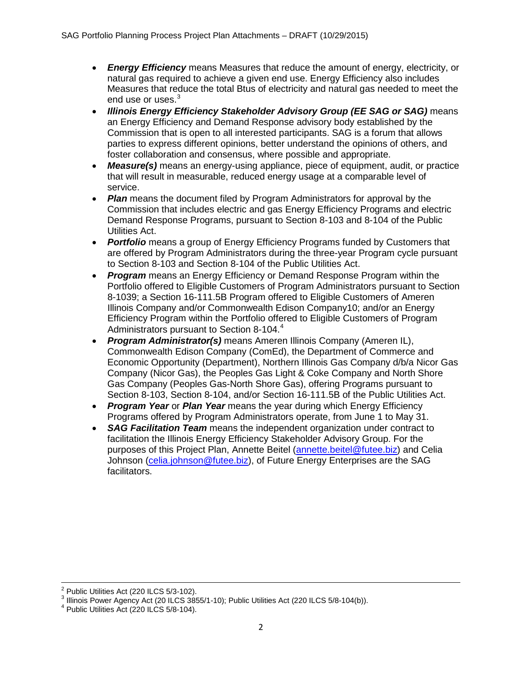- *Energy Efficiency* means Measures that reduce the amount of energy, electricity, or natural gas required to achieve a given end use. Energy Efficiency also includes Measures that reduce the total Btus of electricity and natural gas needed to meet the end use or uses.<sup>[3](#page-1-0)</sup>
- *Illinois Energy Efficiency Stakeholder Advisory Group (EE SAG or SAG)* means an Energy Efficiency and Demand Response advisory body established by the Commission that is open to all interested participants. SAG is a forum that allows parties to express different opinions, better understand the opinions of others, and foster collaboration and consensus, where possible and appropriate.
- *Measure(s)* means an energy-using appliance, piece of equipment, audit, or practice that will result in measurable, reduced energy usage at a comparable level of service.
- **Plan** means the document filed by Program Administrators for approval by the Commission that includes electric and gas Energy Efficiency Programs and electric Demand Response Programs, pursuant to Section 8-103 and 8-104 of the Public Utilities Act.
- *Portfolio* means a group of Energy Efficiency Programs funded by Customers that are offered by Program Administrators during the three-year Program cycle pursuant to Section 8-103 and Section 8-104 of the Public Utilities Act.
- *Program* means an Energy Efficiency or Demand Response Program within the Portfolio offered to Eligible Customers of Program Administrators pursuant to Section 8-1039; a Section 16-111.5B Program offered to Eligible Customers of Ameren Illinois Company and/or Commonwealth Edison Company10; and/or an Energy Efficiency Program within the Portfolio offered to Eligible Customers of Program Administrators pursuant to Section 8-10[4](#page-1-1).<sup>4</sup>
- *Program Administrator(s)* means Ameren Illinois Company (Ameren IL), Commonwealth Edison Company (ComEd), the Department of Commerce and Economic Opportunity (Department), Northern Illinois Gas Company d/b/a Nicor Gas Company (Nicor Gas), the Peoples Gas Light & Coke Company and North Shore Gas Company (Peoples Gas-North Shore Gas), offering Programs pursuant to Section 8-103, Section 8-104, and/or Section 16-111.5B of the Public Utilities Act.
- *Program Year* or *Plan Year* means the year during which Energy Efficiency Programs offered by Program Administrators operate, from June 1 to May 31.
- *SAG Facilitation Team* means the independent organization under contract to facilitation the Illinois Energy Efficiency Stakeholder Advisory Group. For the purposes of this Project Plan, Annette Beitel [\(annette.beitel@futee.biz\)](mailto:annette.beitel@futee.biz) and Celia Johnson [\(celia.johnson@futee.biz\)](mailto:celia.johnson@futee.biz), of Future Energy Enterprises are the SAG facilitators.

<span id="page-1-0"></span><sup>&</sup>lt;sup>2</sup> Public Utilities Act (220 ILCS 5/3-102).<br><sup>3</sup> Illinois Power Agency Act (20 ILCS 3855/1-10); Public Utilities Act (220 ILCS 5/8-104(b)).<br><sup>4</sup> Public Utilities Act (220 ILCS 5/8-104).

<span id="page-1-1"></span>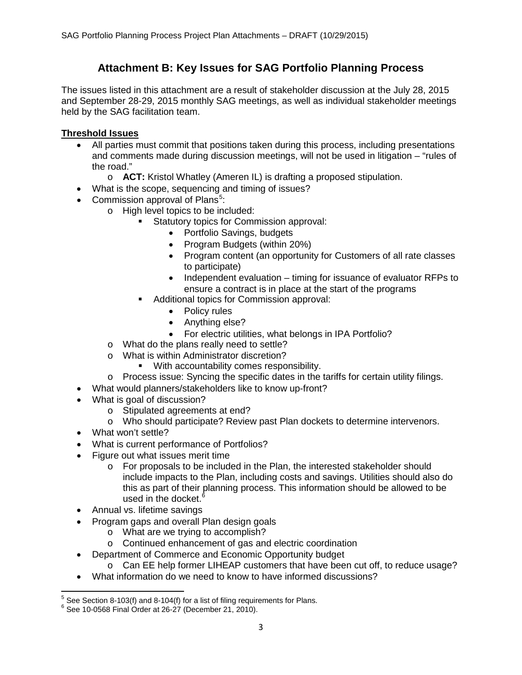# **Attachment B: Key Issues for SAG Portfolio Planning Process**

The issues listed in this attachment are a result of stakeholder discussion at the July 28, 2015 and September 28-29, 2015 monthly SAG meetings, as well as individual stakeholder meetings held by the SAG facilitation team.

# **Threshold Issues**

- All parties must commit that positions taken during this process, including presentations and comments made during discussion meetings, will not be used in litigation – "rules of the road."
	- o **ACT:** Kristol Whatley (Ameren IL) is drafting a proposed stipulation.
- What is the scope, sequencing and timing of issues?
- Commission approval of Plans<sup>[5](#page-2-0)</sup>:
	- o High level topics to be included:
		- Statutory topics for Commission approval:
			- Portfolio Savings, budgets
			- Program Budgets (within 20%)
			- Program content (an opportunity for Customers of all rate classes to participate)
			- Independent evaluation timing for issuance of evaluator RFPs to ensure a contract is in place at the start of the programs
		- Additional topics for Commission approval:
			- Policy rules
			- Anything else?
			- For electric utilities, what belongs in IPA Portfolio?
		- o What do the plans really need to settle?
		- o What is within Administrator discretion?<br>With accountability comes respo
			- With accountability comes responsibility.
		- $\circ$  Process issue: Syncing the specific dates in the tariffs for certain utility filings.
- What would planners/stakeholders like to know up-front?
- What is goal of discussion?
	- o Stipulated agreements at end?
	- o Who should participate? Review past Plan dockets to determine intervenors.
- What won't settle?
- What is current performance of Portfolios?
- Figure out what issues merit time
	- $\circ$  For proposals to be included in the Plan, the interested stakeholder should include impacts to the Plan, including costs and savings. Utilities should also do this as part of their planning process. This information should be allowed to be used in the docket. $6$
- Annual vs. lifetime savings
- Program gaps and overall Plan design goals
	- o What are we trying to accomplish?
	- o Continued enhancement of gas and electric coordination
- Department of Commerce and Economic Opportunity budget
	- o Can EE help former LIHEAP customers that have been cut off, to reduce usage?
- What information do we need to know to have informed discussions?

<span id="page-2-1"></span><span id="page-2-0"></span> $^5$  See Section 8-103(f) and 8-104(f) for a list of filing requirements for Plans.<br> $^6$  See 10-0568 Final Order at 26-27 (December 21, 2010).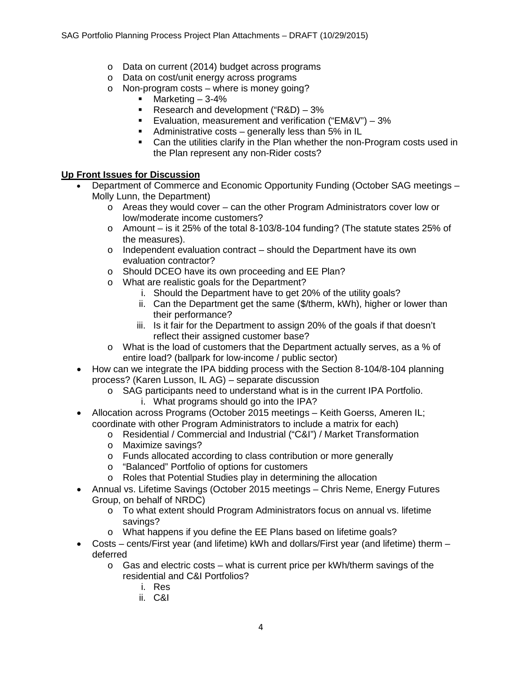- o Data on current (2014) budget across programs
- o Data on cost/unit energy across programs
- o Non-program costs where is money going?
	- $\blacksquare$  Marketing  $-3-4\%$
	- Research and development ("R&D) 3%
	- Evaluation, measurement and verification ("EM&V")  $-3\%$
	- Administrative costs generally less than 5% in IL
	- Can the utilities clarify in the Plan whether the non-Program costs used in the Plan represent any non-Rider costs?

## **Up Front Issues for Discussion**

- Department of Commerce and Economic Opportunity Funding (October SAG meetings Molly Lunn, the Department)
	- $\circ$  Areas they would cover can the other Program Administrators cover low or low/moderate income customers?
	- $\circ$  Amount is it 25% of the total 8-103/8-104 funding? (The statute states 25% of the measures).
	- o Independent evaluation contract should the Department have its own evaluation contractor?
	- o Should DCEO have its own proceeding and EE Plan?
	- o What are realistic goals for the Department?
		- i. Should the Department have to get 20% of the utility goals?
		- ii. Can the Department get the same (\$/therm, kWh), higher or lower than their performance?
		- iii. Is it fair for the Department to assign 20% of the goals if that doesn't reflect their assigned customer base?
	- o What is the load of customers that the Department actually serves, as a % of entire load? (ballpark for low-income / public sector)
- How can we integrate the IPA bidding process with the Section 8-104/8-104 planning process? (Karen Lusson, IL AG) – separate discussion
	- o SAG participants need to understand what is in the current IPA Portfolio. i. What programs should go into the IPA?
- Allocation across Programs (October 2015 meetings Keith Goerss, Ameren IL; coordinate with other Program Administrators to include a matrix for each)
	- o Residential / Commercial and Industrial ("C&I") / Market Transformation
	- o Maximize savings?
	- o Funds allocated according to class contribution or more generally
	- o "Balanced" Portfolio of options for customers
	- o Roles that Potential Studies play in determining the allocation
- Annual vs. Lifetime Savings (October 2015 meetings Chris Neme, Energy Futures Group, on behalf of NRDC)
	- o To what extent should Program Administrators focus on annual vs. lifetime savings?
	- o What happens if you define the EE Plans based on lifetime goals?
- Costs cents/First year (and lifetime) kWh and dollars/First year (and lifetime) therm deferred
	- $\circ$  Gas and electric costs what is current price per kWh/therm savings of the residential and C&I Portfolios?
		- i. Res
		- ii. C&I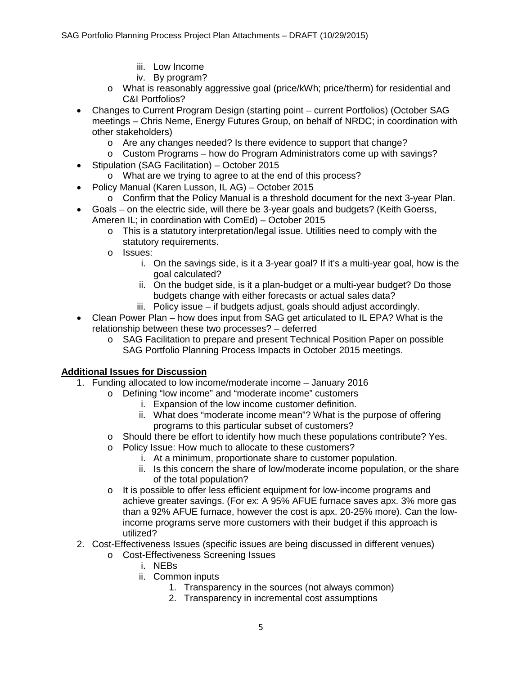- iii. Low Income
- iv. By program?
- o What is reasonably aggressive goal (price/kWh; price/therm) for residential and C&I Portfolios?
- Changes to Current Program Design (starting point current Portfolios) (October SAG meetings – Chris Neme, Energy Futures Group, on behalf of NRDC; in coordination with other stakeholders)
	- o Are any changes needed? Is there evidence to support that change?
	- $\circ$  Custom Programs how do Program Administrators come up with savings?
- Stipulation (SAG Facilitation) October 2015
	- o What are we trying to agree to at the end of this process?
- Policy Manual (Karen Lusson, IL AG) October 2015
	- $\circ$  Confirm that the Policy Manual is a threshold document for the next 3-year Plan.
- Goals on the electric side, will there be 3-year goals and budgets? (Keith Goerss, Ameren IL; in coordination with ComEd) – October 2015
	- $\circ$  This is a statutory interpretation/legal issue. Utilities need to comply with the statutory requirements.
	- o Issues:
		- i. On the savings side, is it a 3-year goal? If it's a multi-year goal, how is the goal calculated?
		- ii. On the budget side, is it a plan-budget or a multi-year budget? Do those budgets change with either forecasts or actual sales data?
		- iii. Policy issue if budgets adjust, goals should adjust accordingly.
- Clean Power Plan how does input from SAG get articulated to IL EPA? What is the relationship between these two processes? – deferred
	- o SAG Facilitation to prepare and present Technical Position Paper on possible SAG Portfolio Planning Process Impacts in October 2015 meetings.

## **Additional Issues for Discussion**

- 1. Funding allocated to low income/moderate income January 2016
	- o Defining "low income" and "moderate income" customers
		- i. Expansion of the low income customer definition.
			- ii. What does "moderate income mean"? What is the purpose of offering programs to this particular subset of customers?
	- o Should there be effort to identify how much these populations contribute? Yes.
	- o Policy Issue: How much to allocate to these customers?
		- i. At a minimum, proportionate share to customer population.
		- ii. Is this concern the share of low/moderate income population, or the share of the total population?
	- o It is possible to offer less efficient equipment for low-income programs and achieve greater savings. (For ex: A 95% AFUE furnace saves apx. 3% more gas than a 92% AFUE furnace, however the cost is apx. 20-25% more). Can the lowincome programs serve more customers with their budget if this approach is utilized?
- 2. Cost-Effectiveness Issues (specific issues are being discussed in different venues)
	- o Cost-Effectiveness Screening Issues
		- i. NEBs
		- ii. Common inputs
			- 1. Transparency in the sources (not always common)
			- 2. Transparency in incremental cost assumptions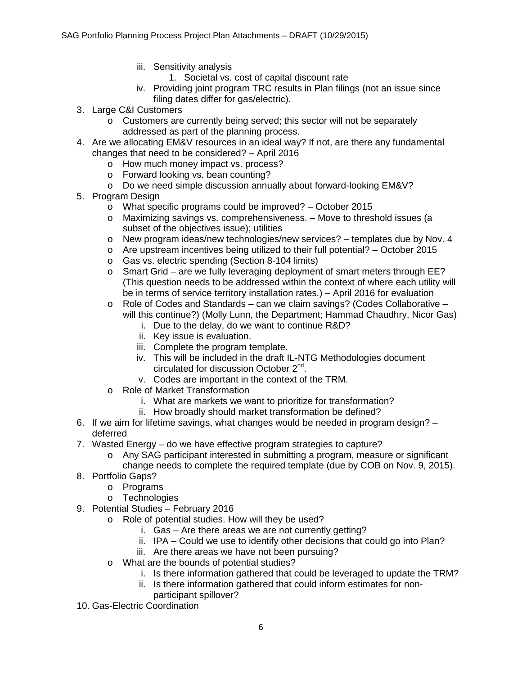- iii. Sensitivity analysis
	- 1. Societal vs. cost of capital discount rate
- iv. Providing joint program TRC results in Plan filings (not an issue since filing dates differ for gas/electric).
- 3. Large C&I Customers
	- o Customers are currently being served; this sector will not be separately addressed as part of the planning process.
- 4. Are we allocating EM&V resources in an ideal way? If not, are there any fundamental changes that need to be considered? – April 2016
	- o How much money impact vs. process?
	- o Forward looking vs. bean counting?
	- o Do we need simple discussion annually about forward-looking EM&V?
- 5. Program Design
	- o What specific programs could be improved? October 2015
	- o Maximizing savings vs. comprehensiveness. Move to threshold issues (a subset of the objectives issue); utilities
	- o New program ideas/new technologies/new services? templates due by Nov. 4
	- $\circ$  Are upstream incentives being utilized to their full potential? October 2015
	- o Gas vs. electric spending (Section 8-104 limits)
	- $\circ$  Smart Grid are we fully leveraging deployment of smart meters through EE? (This question needs to be addressed within the context of where each utility will be in terms of service territory installation rates.) – April 2016 for evaluation
	- $\circ$  Role of Codes and Standards can we claim savings? (Codes Collaborative will this continue?) (Molly Lunn, the Department; Hammad Chaudhry, Nicor Gas)
		- i. Due to the delay, do we want to continue R&D?
		- ii. Key issue is evaluation.
		- iii. Complete the program template.
		- iv. This will be included in the draft IL-NTG Methodologies document circulated for discussion October 2nd.
		- v. Codes are important in the context of the TRM.
	- o Role of Market Transformation
		- i. What are markets we want to prioritize for transformation?
		- ii. How broadly should market transformation be defined?
- 6. If we aim for lifetime savings, what changes would be needed in program design? deferred
- 7. Wasted Energy do we have effective program strategies to capture?
	- o Any SAG participant interested in submitting a program, measure or significant change needs to complete the required template (due by COB on Nov. 9, 2015).
- 8. Portfolio Gaps?
	- o Programs
		- o Technologies
- 9. Potential Studies February 2016
	- o Role of potential studies. How will they be used?
		- i. Gas Are there areas we are not currently getting?
		- ii. IPA Could we use to identify other decisions that could go into Plan?
		- iii. Are there areas we have not been pursuing?
	- o What are the bounds of potential studies?
		- i. Is there information gathered that could be leveraged to update the TRM?
		- ii. Is there information gathered that could inform estimates for nonparticipant spillover?
- 10. Gas-Electric Coordination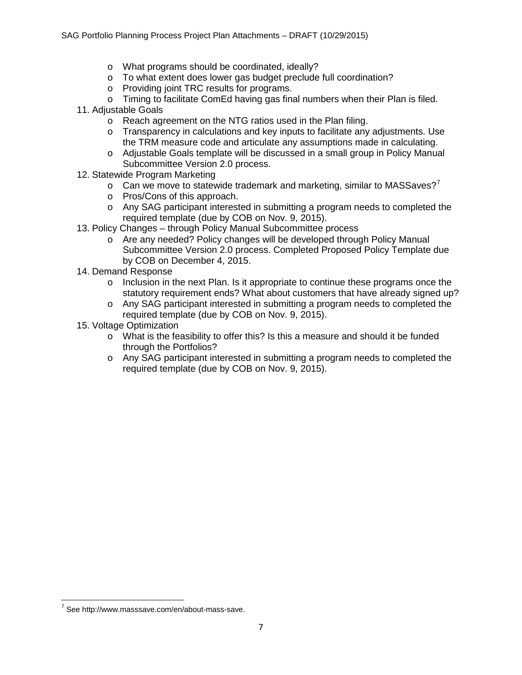- o What programs should be coordinated, ideally?
- o To what extent does lower gas budget preclude full coordination?
- o Providing joint TRC results for programs.
- $\circ$  Timing to facilitate ComEd having gas final numbers when their Plan is filed.
- 11. Adjustable Goals
	- o Reach agreement on the NTG ratios used in the Plan filing.
	- o Transparency in calculations and key inputs to facilitate any adjustments. Use the TRM measure code and articulate any assumptions made in calculating.
	- o Adjustable Goals template will be discussed in a small group in Policy Manual Subcommittee Version 2.0 process.
- 12. Statewide Program Marketing
	- $\circ$  Can we move to statewide trademark and marketing, similar to MASSaves?<sup>[7](#page-6-0)</sup>
	- o Pros/Cons of this approach.
	- o Any SAG participant interested in submitting a program needs to completed the required template (due by COB on Nov. 9, 2015).
- 13. Policy Changes through Policy Manual Subcommittee process
	- o Are any needed? Policy changes will be developed through Policy Manual Subcommittee Version 2.0 process. Completed Proposed Policy Template due by COB on December 4, 2015.
- 14. Demand Response
	- $\circ$  Inclusion in the next Plan. Is it appropriate to continue these programs once the statutory requirement ends? What about customers that have already signed up?
	- o Any SAG participant interested in submitting a program needs to completed the required template (due by COB on Nov. 9, 2015).
- 15. Voltage Optimization
	- o What is the feasibility to offer this? Is this a measure and should it be funded through the Portfolios?
	- o Any SAG participant interested in submitting a program needs to completed the required template (due by COB on Nov. 9, 2015).

<span id="page-6-0"></span> $7$  See [http://www.masssave.com/en/about-mass-save.](http://www.masssave.com/en/about-mass-save)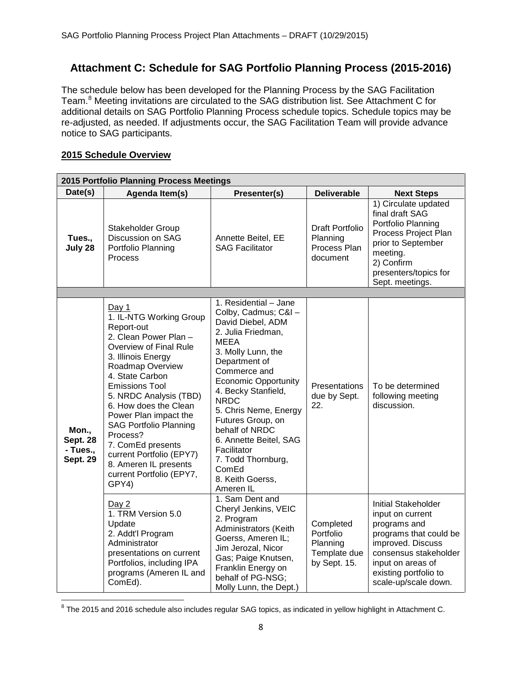# **Attachment C: Schedule for SAG Portfolio Planning Process (2015-2016)**

The schedule below has been developed for the Planning Process by the SAG Facilitation Team.<sup>[8](#page-7-0)</sup> Meeting invitations are circulated to the SAG distribution list. See Attachment C for additional details on SAG Portfolio Planning Process schedule topics. Schedule topics may be re-adjusted, as needed. If adjustments occur, the SAG Facilitation Team will provide advance notice to SAG participants.

## **2015 Schedule Overview**

| 2015 Portfolio Planning Process Meetings                |                                                                                                                                                                                                                                                                                                                                                                                                                                 |                                                                                                                                                                                                                                                                                                                                                                                                              |                                                                    |                                                                                                                                                                                                              |
|---------------------------------------------------------|---------------------------------------------------------------------------------------------------------------------------------------------------------------------------------------------------------------------------------------------------------------------------------------------------------------------------------------------------------------------------------------------------------------------------------|--------------------------------------------------------------------------------------------------------------------------------------------------------------------------------------------------------------------------------------------------------------------------------------------------------------------------------------------------------------------------------------------------------------|--------------------------------------------------------------------|--------------------------------------------------------------------------------------------------------------------------------------------------------------------------------------------------------------|
| Date(s)                                                 | Agenda Item(s)                                                                                                                                                                                                                                                                                                                                                                                                                  | Presenter(s)                                                                                                                                                                                                                                                                                                                                                                                                 | <b>Deliverable</b>                                                 | <b>Next Steps</b>                                                                                                                                                                                            |
| Tues.,<br>July 28                                       | Stakeholder Group<br>Discussion on SAG<br>Portfolio Planning<br>Process                                                                                                                                                                                                                                                                                                                                                         | Annette Beitel, EE<br><b>SAG Facilitator</b>                                                                                                                                                                                                                                                                                                                                                                 | <b>Draft Portfolio</b><br>Planning<br>Process Plan<br>document     | 1) Circulate updated<br>final draft SAG<br>Portfolio Planning<br>Process Project Plan<br>prior to September<br>meeting.<br>2) Confirm<br>presenters/topics for<br>Sept. meetings.                            |
|                                                         |                                                                                                                                                                                                                                                                                                                                                                                                                                 |                                                                                                                                                                                                                                                                                                                                                                                                              |                                                                    |                                                                                                                                                                                                              |
| Mon.,<br><b>Sept. 28</b><br>- Tues.,<br><b>Sept. 29</b> | Day 1<br>1. IL-NTG Working Group<br>Report-out<br>2. Clean Power Plan -<br>Overview of Final Rule<br>3. Illinois Energy<br>Roadmap Overview<br>4. State Carbon<br><b>Emissions Tool</b><br>5. NRDC Analysis (TBD)<br>6. How does the Clean<br>Power Plan impact the<br><b>SAG Portfolio Planning</b><br>Process?<br>7. ComEd presents<br>current Portfolio (EPY7)<br>8. Ameren IL presents<br>current Portfolio (EPY7,<br>GPY4) | 1. Residential - Jane<br>Colby, Cadmus; C&I -<br>David Diebel, ADM<br>2. Julia Friedman,<br><b>MEEA</b><br>3. Molly Lunn, the<br>Department of<br>Commerce and<br><b>Economic Opportunity</b><br>4. Becky Stanfield,<br><b>NRDC</b><br>5. Chris Neme, Energy<br>Futures Group, on<br>behalf of NRDC<br>6. Annette Beitel, SAG<br>Facilitator<br>7. Todd Thornburg,<br>ComEd<br>8. Keith Goerss,<br>Ameren IL | Presentations<br>due by Sept.<br>22.                               | To be determined<br>following meeting<br>discussion.                                                                                                                                                         |
|                                                         | Day 2<br>1. TRM Version 5.0<br>Update<br>2. Addt'l Program<br>Administrator<br>presentations on current<br>Portfolios, including IPA<br>programs (Ameren IL and<br>ComEd).                                                                                                                                                                                                                                                      | 1. Sam Dent and<br>Cheryl Jenkins, VEIC<br>2. Program<br>Administrators (Keith<br>Goerss, Ameren IL;<br>Jim Jerozal, Nicor<br>Gas; Paige Knutsen,<br>Franklin Energy on<br>behalf of PG-NSG;<br>Molly Lunn, the Dept.)                                                                                                                                                                                       | Completed<br>Portfolio<br>Planning<br>Template due<br>by Sept. 15. | <b>Initial Stakeholder</b><br>input on current<br>programs and<br>programs that could be<br>improved. Discuss<br>consensus stakeholder<br>input on areas of<br>existing portfolio to<br>scale-up/scale down. |

<span id="page-7-0"></span><sup>8</sup> The 2015 and 2016 schedule also includes regular SAG topics, as indicated in yellow highlight in Attachment C.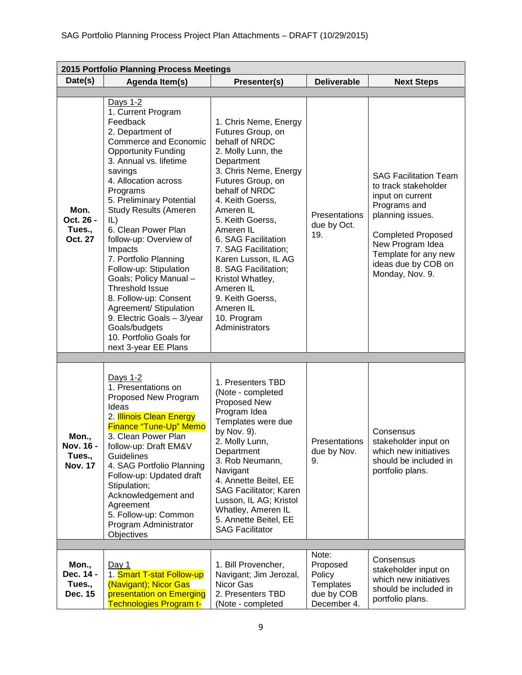| 2015 Portfolio Planning Process Meetings       |                                                                                                                                                                                                                                                                                                                                                                                                                                                                                                                                                                                           |                                                                                                                                                                                                                                                                                                                                                                                                                                                |                                                                       |                                                                                                                                                                                                                                 |
|------------------------------------------------|-------------------------------------------------------------------------------------------------------------------------------------------------------------------------------------------------------------------------------------------------------------------------------------------------------------------------------------------------------------------------------------------------------------------------------------------------------------------------------------------------------------------------------------------------------------------------------------------|------------------------------------------------------------------------------------------------------------------------------------------------------------------------------------------------------------------------------------------------------------------------------------------------------------------------------------------------------------------------------------------------------------------------------------------------|-----------------------------------------------------------------------|---------------------------------------------------------------------------------------------------------------------------------------------------------------------------------------------------------------------------------|
| Date(s)                                        | Agenda Item(s)                                                                                                                                                                                                                                                                                                                                                                                                                                                                                                                                                                            | Presenter(s)                                                                                                                                                                                                                                                                                                                                                                                                                                   | <b>Deliverable</b>                                                    | <b>Next Steps</b>                                                                                                                                                                                                               |
|                                                |                                                                                                                                                                                                                                                                                                                                                                                                                                                                                                                                                                                           |                                                                                                                                                                                                                                                                                                                                                                                                                                                |                                                                       |                                                                                                                                                                                                                                 |
| Mon.<br>Oct. 26 -<br>Tues.,<br>Oct. 27         | Days 1-2<br>1. Current Program<br>Feedback<br>2. Department of<br>Commerce and Economic<br><b>Opportunity Funding</b><br>3. Annual vs. lifetime<br>savings<br>4. Allocation across<br>Programs<br>5. Preliminary Potential<br><b>Study Results (Ameren</b><br>IL)<br>6. Clean Power Plan<br>follow-up: Overview of<br>Impacts<br>7. Portfolio Planning<br>Follow-up: Stipulation<br>Goals; Policy Manual -<br><b>Threshold Issue</b><br>8. Follow-up: Consent<br>Agreement/ Stipulation<br>9. Electric Goals - 3/year<br>Goals/budgets<br>10. Portfolio Goals for<br>next 3-year EE Plans | 1. Chris Neme, Energy<br>Futures Group, on<br>behalf of NRDC<br>2. Molly Lunn, the<br>Department<br>3. Chris Neme, Energy<br>Futures Group, on<br>behalf of NRDC<br>4. Keith Goerss,<br>Ameren IL<br>5. Keith Goerss,<br>Ameren IL<br>6. SAG Facilitation<br>7. SAG Facilitation;<br>Karen Lusson, IL AG<br>8. SAG Facilitation;<br>Kristol Whatley,<br>Ameren IL<br>9. Keith Goerss,<br>Ameren <sub>IL</sub><br>10. Program<br>Administrators | Presentations<br>due by Oct.<br>19.                                   | <b>SAG Facilitation Team</b><br>to track stakeholder<br>input on current<br>Programs and<br>planning issues.<br><b>Completed Proposed</b><br>New Program Idea<br>Template for any new<br>ideas due by COB on<br>Monday, Nov. 9. |
|                                                |                                                                                                                                                                                                                                                                                                                                                                                                                                                                                                                                                                                           |                                                                                                                                                                                                                                                                                                                                                                                                                                                |                                                                       |                                                                                                                                                                                                                                 |
| Mon.,<br>Nov. 16 -<br>Tues.,<br><b>Nov. 17</b> | Days 1-2<br>1. Presentations on<br>Proposed New Program<br>Ideas<br>2. <b>Illinois Clean Energy</b><br>Finance "Tune-Up" Memo<br>3. Clean Power Plan<br>follow-up: Draft EM&V<br>Guidelines<br>4. SAG Portfolio Planning<br>Follow-up: Updated draft<br>Stipulation;<br>Acknowledgement and<br>Agreement<br>5. Follow-up: Common<br>Program Administrator<br>Objectives                                                                                                                                                                                                                   | 1. Presenters TBD<br>(Note - completed<br>Proposed New<br>Program Idea<br>Templates were due<br>by Nov. 9).<br>2. Molly Lunn,<br>Department<br>3. Rob Neumann,<br>Navigant<br>4. Annette Beitel, EE<br>SAG Facilitator; Karen<br>Lusson, IL AG; Kristol<br>Whatley, Ameren IL<br>5. Annette Beitel, EE<br><b>SAG Facilitator</b>                                                                                                               | Presentations<br>due by Nov.<br>9.                                    | Consensus<br>stakeholder input on<br>which new initiatives<br>should be included in<br>portfolio plans.                                                                                                                         |
|                                                |                                                                                                                                                                                                                                                                                                                                                                                                                                                                                                                                                                                           |                                                                                                                                                                                                                                                                                                                                                                                                                                                |                                                                       |                                                                                                                                                                                                                                 |
| Mon.,<br>Dec. 14 -<br>Tues.,<br>Dec. 15        | Day 1<br>1. Smart T-stat Follow-up<br>(Navigant); Nicor Gas<br>presentation on Emerging<br><b>Technologies Program t-</b>                                                                                                                                                                                                                                                                                                                                                                                                                                                                 | 1. Bill Provencher,<br>Navigant; Jim Jerozal,<br>Nicor Gas<br>2. Presenters TBD<br>(Note - completed                                                                                                                                                                                                                                                                                                                                           | Note:<br>Proposed<br>Policy<br>Templates<br>due by COB<br>December 4. | Consensus<br>stakeholder input on<br>which new initiatives<br>should be included in<br>portfolio plans.                                                                                                                         |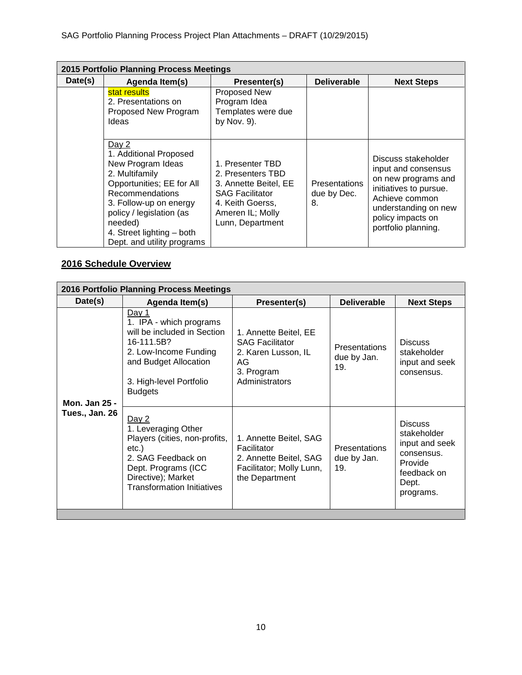| 2015 Portfolio Planning Process Meetings |                                                                                                                                                                                                                                                    |                                                                                                                                                      |                                           |                                                                                                                                                                                   |
|------------------------------------------|----------------------------------------------------------------------------------------------------------------------------------------------------------------------------------------------------------------------------------------------------|------------------------------------------------------------------------------------------------------------------------------------------------------|-------------------------------------------|-----------------------------------------------------------------------------------------------------------------------------------------------------------------------------------|
| Date(s)                                  | Agenda Item(s)                                                                                                                                                                                                                                     | Presenter(s)                                                                                                                                         | <b>Deliverable</b>                        | <b>Next Steps</b>                                                                                                                                                                 |
|                                          | stat results<br>2. Presentations on<br>Proposed New Program<br>Ideas                                                                                                                                                                               | <b>Proposed New</b><br>Program Idea<br>Templates were due<br>by Nov. 9).                                                                             |                                           |                                                                                                                                                                                   |
|                                          | Day 2<br>1. Additional Proposed<br>New Program Ideas<br>2. Multifamily<br>Opportunities; EE for All<br>Recommendations<br>3. Follow-up on energy<br>policy / legislation (as<br>needed)<br>4. Street lighting - both<br>Dept. and utility programs | 1. Presenter TBD<br>2. Presenters TBD<br>3. Annette Beitel, EE<br><b>SAG Facilitator</b><br>4. Keith Goerss,<br>Ameren IL; Molly<br>Lunn, Department | <b>Presentations</b><br>due by Dec.<br>8. | Discuss stakeholder<br>input and consensus<br>on new programs and<br>initiatives to pursue.<br>Achieve common<br>understanding on new<br>policy impacts on<br>portfolio planning. |

# **2016 Schedule Overview**

| Date(s)<br><b>Deliverable</b><br>Agenda Item(s)<br>Presenter(s)<br><u>Day 1</u><br>1. IPA - which programs                                                                                                                                                                                                                                                                                                                         | 2016 Portfolio Planning Process Meetings |                       |  |                                              |  |
|------------------------------------------------------------------------------------------------------------------------------------------------------------------------------------------------------------------------------------------------------------------------------------------------------------------------------------------------------------------------------------------------------------------------------------|------------------------------------------|-----------------------|--|----------------------------------------------|--|
|                                                                                                                                                                                                                                                                                                                                                                                                                                    |                                          |                       |  | <b>Next Steps</b>                            |  |
| 16-111.5B?<br><b>SAG Facilitator</b><br><b>Discuss</b><br><b>Presentations</b><br>2. Low-Income Funding<br>2. Karen Lusson, IL<br>due by Jan.<br>and Budget Allocation<br>AG<br>19.<br>3. Program<br>consensus.<br>Administrators<br>3. High-level Portfolio<br><b>Budgets</b><br>Mon. Jan 25 -                                                                                                                                    | will be included in Section              | 1. Annette Beitel, EE |  | stakeholder<br>input and seek                |  |
| Tues., Jan. 26<br>Day $2$<br><b>Discuss</b><br>1. Leveraging Other<br>Players (cities, non-profits,<br>1. Annette Beitel, SAG<br>Facilitator<br><b>Presentations</b><br>etc.)<br>consensus.<br>2. SAG Feedback on<br>2. Annette Beitel, SAG<br>due by Jan.<br>Provide<br>19.<br>Dept. Programs (ICC<br>Facilitator; Molly Lunn,<br>Directive); Market<br>the Department<br>Dept.<br><b>Transformation Initiatives</b><br>programs. |                                          |                       |  | stakeholder<br>input and seek<br>feedback on |  |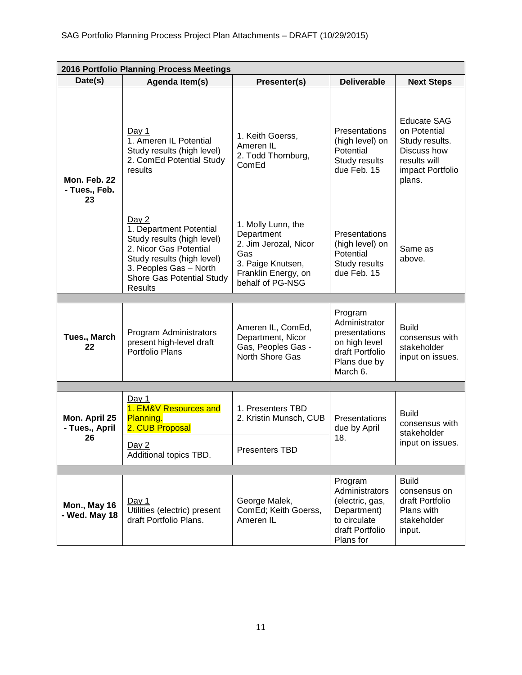| 2016 Portfolio Planning Process Meetings |                                                                                                                                                                                                 |                                                                                                                                  |                                                                                                             |                                                                                                                   |
|------------------------------------------|-------------------------------------------------------------------------------------------------------------------------------------------------------------------------------------------------|----------------------------------------------------------------------------------------------------------------------------------|-------------------------------------------------------------------------------------------------------------|-------------------------------------------------------------------------------------------------------------------|
| Date(s)                                  | Agenda Item(s)                                                                                                                                                                                  | Presenter(s)                                                                                                                     | <b>Deliverable</b>                                                                                          | <b>Next Steps</b>                                                                                                 |
| Mon. Feb. 22<br>- Tues., Feb.<br>23      | Day 1<br>1. Ameren IL Potential<br>Study results (high level)<br>2. ComEd Potential Study<br>results                                                                                            | 1. Keith Goerss,<br>Ameren IL<br>2. Todd Thornburg,<br>ComEd                                                                     | Presentations<br>(high level) on<br>Potential<br>Study results<br>due Feb. 15                               | <b>Educate SAG</b><br>on Potential<br>Study results.<br>Discuss how<br>results will<br>impact Portfolio<br>plans. |
|                                          | Day 2<br>1. Department Potential<br>Study results (high level)<br>2. Nicor Gas Potential<br>Study results (high level)<br>3. Peoples Gas - North<br>Shore Gas Potential Study<br><b>Results</b> | 1. Molly Lunn, the<br>Department<br>2. Jim Jerozal, Nicor<br>Gas<br>3. Paige Knutsen,<br>Franklin Energy, on<br>behalf of PG-NSG | Presentations<br>(high level) on<br>Potential<br>Study results<br>due Feb. 15                               | Same as<br>above.                                                                                                 |
|                                          |                                                                                                                                                                                                 |                                                                                                                                  |                                                                                                             |                                                                                                                   |
| Tues., March<br>22                       | Program Administrators<br>present high-level draft<br>Portfolio Plans                                                                                                                           | Ameren IL, ComEd,<br>Department, Nicor<br>Gas, Peoples Gas -<br>North Shore Gas                                                  | Program<br>Administrator<br>presentations<br>on high level<br>draft Portfolio<br>Plans due by<br>March 6.   | <b>Build</b><br>consensus with<br>stakeholder<br>input on issues.                                                 |
|                                          |                                                                                                                                                                                                 |                                                                                                                                  |                                                                                                             |                                                                                                                   |
| Mon. April 25<br>- Tues., April<br>26    | Day 1<br>1. EM&V Resources and<br>Planning.<br>2. CUB Proposal                                                                                                                                  | 1. Presenters TBD<br>2. Kristin Munsch, CUB                                                                                      | Presentations<br>due by April<br>18.                                                                        | <b>Build</b><br>consensus with<br>stakeholder                                                                     |
|                                          | Day $2$<br>Additional topics TBD.                                                                                                                                                               | Presenters TBD                                                                                                                   |                                                                                                             | input on issues.                                                                                                  |
|                                          |                                                                                                                                                                                                 |                                                                                                                                  |                                                                                                             |                                                                                                                   |
| <b>Mon., May 16</b><br>- Wed. May 18     | Day $1$<br>Utilities (electric) present<br>draft Portfolio Plans.                                                                                                                               | George Malek,<br>ComEd; Keith Goerss,<br>Ameren IL                                                                               | Program<br>Administrators<br>(electric, gas,<br>Department)<br>to circulate<br>draft Portfolio<br>Plans for | <b>Build</b><br>consensus on<br>draft Portfolio<br>Plans with<br>stakeholder<br>input.                            |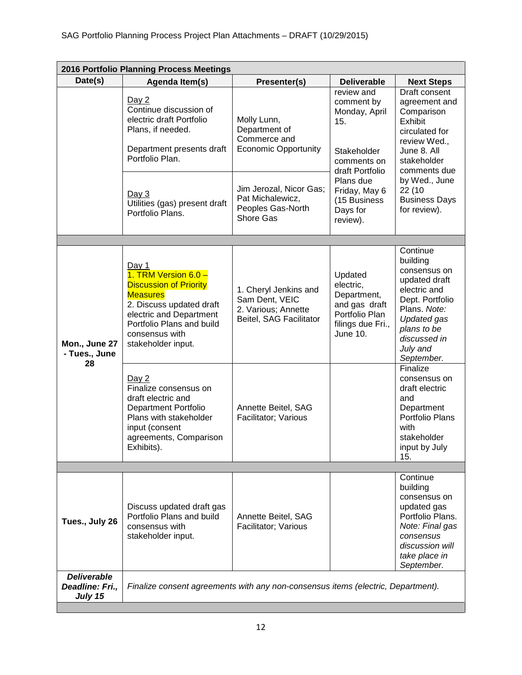| 2016 Portfolio Planning Process Meetings         |                                                                                                                                                                                                                        |                                                                                            |                                                                                                                                         |                                                                                                                                                                                         |
|--------------------------------------------------|------------------------------------------------------------------------------------------------------------------------------------------------------------------------------------------------------------------------|--------------------------------------------------------------------------------------------|-----------------------------------------------------------------------------------------------------------------------------------------|-----------------------------------------------------------------------------------------------------------------------------------------------------------------------------------------|
| Date(s)                                          | Agenda Item(s)                                                                                                                                                                                                         | Presenter(s)                                                                               | <b>Deliverable</b>                                                                                                                      | <b>Next Steps</b>                                                                                                                                                                       |
|                                                  | Day 2<br>Continue discussion of<br>electric draft Portfolio<br>Molly Lunn,<br>15.<br>Department of<br>Plans, if needed.<br>Commerce and<br><b>Economic Opportunity</b><br>Department presents draft<br>Portfolio Plan. | review and<br>comment by<br>Monday, April<br>Stakeholder<br>comments on<br>draft Portfolio | Draft consent<br>agreement and<br>Comparison<br>Exhibit<br>circulated for<br>review Wed.,<br>June 8. All<br>stakeholder<br>comments due |                                                                                                                                                                                         |
|                                                  | Day 3<br>Utilities (gas) present draft<br>Portfolio Plans.                                                                                                                                                             | Jim Jerozal, Nicor Gas;<br>Pat Michalewicz,<br>Peoples Gas-North<br>Shore Gas              | Plans due<br>Friday, May 6<br>(15 Business<br>Days for<br>review).                                                                      | by Wed., June<br>22 (10<br><b>Business Days</b><br>for review).                                                                                                                         |
|                                                  |                                                                                                                                                                                                                        |                                                                                            |                                                                                                                                         |                                                                                                                                                                                         |
| Mon., June 27<br>- Tues., June<br>28             | Day $1$<br>1. TRM Version 6.0 -<br><b>Discussion of Priority</b><br><b>Measures</b><br>2. Discuss updated draft<br>electric and Department<br>Portfolio Plans and build<br>consensus with<br>stakeholder input.        | 1. Cheryl Jenkins and<br>Sam Dent, VEIC<br>2. Various; Annette<br>Beitel, SAG Facilitator  | Updated<br>electric,<br>Department,<br>and gas draft<br>Portfolio Plan<br>filings due Fri.,<br>June 10.                                 | Continue<br>building<br>consensus on<br>updated draft<br>electric and<br>Dept. Portfolio<br>Plans. Note:<br><b>Updated gas</b><br>plans to be<br>discussed in<br>July and<br>September. |
|                                                  | Day 2<br>Finalize consensus on<br>draft electric and<br><b>Department Portfolio</b><br>Plans with stakeholder<br>input (consent<br>agreements, Comparison<br>Exhibits).                                                | Annette Beitel, SAG<br>Facilitator; Various                                                |                                                                                                                                         | Finalize<br>consensus on<br>draft electric<br>and<br>Department<br>Portfolio Plans<br>with<br>stakeholder<br>input by July<br>15.                                                       |
|                                                  |                                                                                                                                                                                                                        |                                                                                            |                                                                                                                                         |                                                                                                                                                                                         |
| Tues., July 26                                   | Discuss updated draft gas<br>Portfolio Plans and build<br>consensus with<br>stakeholder input.                                                                                                                         | Annette Beitel, SAG<br>Facilitator; Various                                                |                                                                                                                                         | Continue<br>building<br>consensus on<br>updated gas<br>Portfolio Plans.<br>Note: Final gas<br>consensus<br>discussion will<br>take place in<br>September.                               |
| <b>Deliverable</b><br>Deadline: Fri.,<br>July 15 | Finalize consent agreements with any non-consensus items (electric, Department).                                                                                                                                       |                                                                                            |                                                                                                                                         |                                                                                                                                                                                         |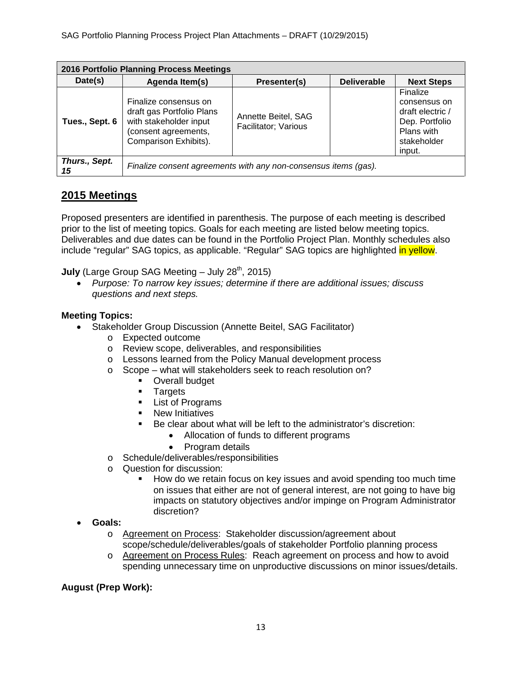| 2016 Portfolio Planning Process Meetings |                                                                                                                               |                                             |                    |                                                                                                       |
|------------------------------------------|-------------------------------------------------------------------------------------------------------------------------------|---------------------------------------------|--------------------|-------------------------------------------------------------------------------------------------------|
| Date(s)                                  | Agenda Item(s)                                                                                                                | Presenter(s)                                | <b>Deliverable</b> | <b>Next Steps</b>                                                                                     |
| Tues., Sept. 6                           | Finalize consensus on<br>draft gas Portfolio Plans<br>with stakeholder input<br>(consent agreements,<br>Comparison Exhibits). | Annette Beitel, SAG<br>Facilitator; Various |                    | Finalize<br>consensus on<br>draft electric /<br>Dep. Portfolio<br>Plans with<br>stakeholder<br>input. |
| Thurs., Sept.<br>15                      | Finalize consent agreements with any non-consensus items (gas).                                                               |                                             |                    |                                                                                                       |

# **2015 Meetings**

Proposed presenters are identified in parenthesis. The purpose of each meeting is described prior to the list of meeting topics. Goals for each meeting are listed below meeting topics. Deliverables and due dates can be found in the Portfolio Project Plan. Monthly schedules also include "regular" SAG topics, as applicable. "Regular" SAG topics are highlighted in yellow.

**July** (Large Group SAG Meeting – July 28<sup>th</sup>, 2015)

• *Purpose: To narrow key issues; determine if there are additional issues; discuss questions and next steps.*

## **Meeting Topics:**

- Stakeholder Group Discussion (Annette Beitel, SAG Facilitator)
	- o Expected outcome
	- o Review scope, deliverables, and responsibilities
	- o Lessons learned from the Policy Manual development process
	- o Scope what will stakeholders seek to reach resolution on?
		- **-** Overall budget
		- **Targets**
		- **List of Programs**
		- **New Initiatives**
		- Be clear about what will be left to the administrator's discretion:
			- Allocation of funds to different programs
			- Program details
	- o Schedule/deliverables/responsibilities
	- o Question for discussion:
		- How do we retain focus on key issues and avoid spending too much time on issues that either are not of general interest, are not going to have big impacts on statutory objectives and/or impinge on Program Administrator discretion?
- **Goals:**
	- o Agreement on Process: Stakeholder discussion/agreement about scope/schedule/deliverables/goals of stakeholder Portfolio planning process
	- o Agreement on Process Rules: Reach agreement on process and how to avoid spending unnecessary time on unproductive discussions on minor issues/details.

## **August (Prep Work):**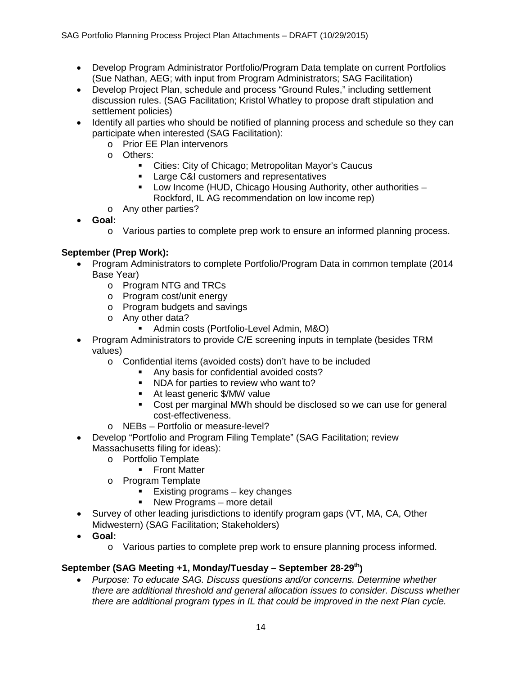- Develop Program Administrator Portfolio/Program Data template on current Portfolios (Sue Nathan, AEG; with input from Program Administrators; SAG Facilitation)
- Develop Project Plan, schedule and process "Ground Rules," including settlement discussion rules. (SAG Facilitation; Kristol Whatley to propose draft stipulation and settlement policies)
- Identify all parties who should be notified of planning process and schedule so they can participate when interested (SAG Facilitation):
	- o Prior EE Plan intervenors
	- o Others:
		- Cities: City of Chicago; Metropolitan Mayor's Caucus
		- **Large C&I customers and representatives**
		- **-** Low Income (HUD, Chicago Housing Authority, other authorities Rockford, IL AG recommendation on low income rep)
	- o Any other parties?
- **Goal:**
	- o Various parties to complete prep work to ensure an informed planning process.

# **September (Prep Work):**

- Program Administrators to complete Portfolio/Program Data in common template (2014 Base Year)
	- o Program NTG and TRCs
	- o Program cost/unit energy
	- o Program budgets and savings
	- o Any other data?
		- Admin costs (Portfolio-Level Admin, M&O)
- Program Administrators to provide C/E screening inputs in template (besides TRM values)
	- o Confidential items (avoided costs) don't have to be included
		- Any basis for confidential avoided costs?
		- NDA for parties to review who want to?
		- At least generic \$/MW value
		- Cost per marginal MWh should be disclosed so we can use for general cost-effectiveness.
	- o NEBs Portfolio or measure-level?
- Develop "Portfolio and Program Filing Template" (SAG Facilitation; review Massachusetts filing for ideas):
	- o Portfolio Template
		- **Front Matter**
	- o Program Template
		- Existing programs key changes
		- New Programs more detail
- Survey of other leading jurisdictions to identify program gaps (VT, MA, CA, Other Midwestern) (SAG Facilitation; Stakeholders)
- **Goal:**
	- o Various parties to complete prep work to ensure planning process informed.

## **September (SAG Meeting +1, Monday/Tuesday – September 28-29th)**

• *Purpose: To educate SAG. Discuss questions and/or concerns. Determine whether there are additional threshold and general allocation issues to consider. Discuss whether there are additional program types in IL that could be improved in the next Plan cycle.*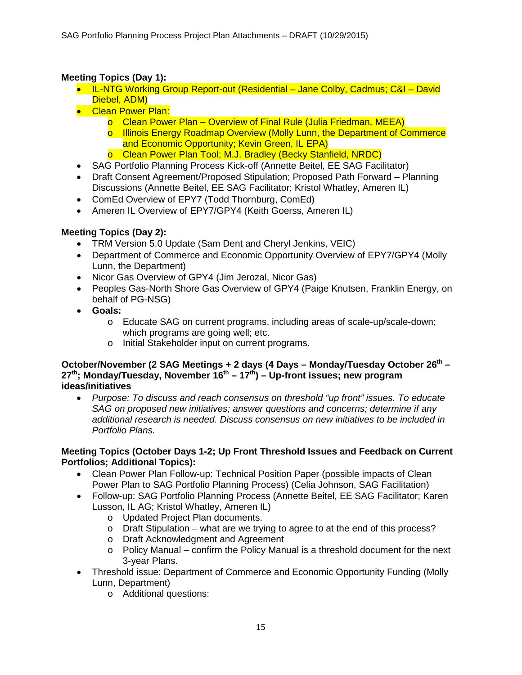# **Meeting Topics (Day 1):**

- IL-NTG Working Group Report-out (Residential Jane Colby, Cadmus; C&I David Diebel, ADM)
- Clean Power Plan:
	- o Clean Power Plan Overview of Final Rule (Julia Friedman, MEEA)
	- o Illinois Energy Roadmap Overview (Molly Lunn, the Department of Commerce and Economic Opportunity; Kevin Green, IL EPA)
	- o Clean Power Plan Tool; M.J. Bradley (Becky Stanfield, NRDC)
- SAG Portfolio Planning Process Kick-off (Annette Beitel, EE SAG Facilitator)
- Draft Consent Agreement/Proposed Stipulation; Proposed Path Forward Planning Discussions (Annette Beitel, EE SAG Facilitator; Kristol Whatley, Ameren IL)
- ComEd Overview of EPY7 (Todd Thornburg, ComEd)
- Ameren IL Overview of EPY7/GPY4 (Keith Goerss, Ameren IL)

# **Meeting Topics (Day 2):**

- TRM Version 5.0 Update (Sam Dent and Cheryl Jenkins, VEIC)
- Department of Commerce and Economic Opportunity Overview of EPY7/GPY4 (Molly Lunn, the Department)
- Nicor Gas Overview of GPY4 (Jim Jerozal, Nicor Gas)
- Peoples Gas-North Shore Gas Overview of GPY4 (Paige Knutsen, Franklin Energy, on behalf of PG-NSG)
- **Goals:**
	- o Educate SAG on current programs, including areas of scale-up/scale-down; which programs are going well; etc.
	- o Initial Stakeholder input on current programs.

#### **October/November (2 SAG Meetings + 2 days (4 Days – Monday/Tuesday October 26th – 27th; Monday/Tuesday, November 16th – 17th) – Up-front issues; new program ideas/initiatives**

• *Purpose: To discuss and reach consensus on threshold "up front" issues. To educate SAG on proposed new initiatives; answer questions and concerns; determine if any additional research is needed. Discuss consensus on new initiatives to be included in Portfolio Plans.*

## **Meeting Topics (October Days 1-2; Up Front Threshold Issues and Feedback on Current Portfolios; Additional Topics):**

- Clean Power Plan Follow-up: Technical Position Paper (possible impacts of Clean Power Plan to SAG Portfolio Planning Process) (Celia Johnson, SAG Facilitation)
- Follow-up: SAG Portfolio Planning Process (Annette Beitel, EE SAG Facilitator; Karen Lusson, IL AG; Kristol Whatley, Ameren IL)
	- o Updated Project Plan documents.
	- $\circ$  Draft Stipulation what are we trying to agree to at the end of this process?
	- o Draft Acknowledgment and Agreement
	- $\circ$  Policy Manual confirm the Policy Manual is a threshold document for the next 3-year Plans.
- Threshold issue: Department of Commerce and Economic Opportunity Funding (Molly Lunn, Department)
	- o Additional questions: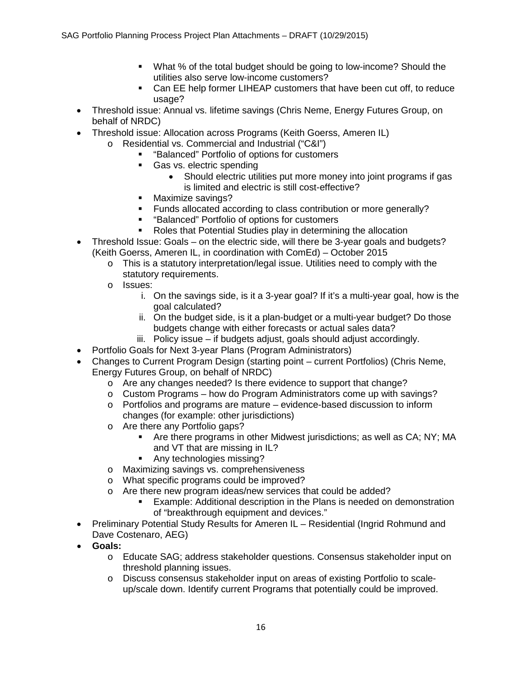- What % of the total budget should be going to low-income? Should the utilities also serve low-income customers?
- Can EE help former LIHEAP customers that have been cut off, to reduce usage?
- Threshold issue: Annual vs. lifetime savings (Chris Neme, Energy Futures Group, on behalf of NRDC)
- Threshold issue: Allocation across Programs (Keith Goerss, Ameren IL)
	- o Residential vs. Commercial and Industrial ("C&I")
		- "Balanced" Portfolio of options for customers
		- Gas vs. electric spending
			- Should electric utilities put more money into joint programs if gas is limited and electric is still cost-effective?
		- Maximize savings?
		- **Funds allocated according to class contribution or more generally?**
		- "Balanced" Portfolio of options for customers
		- Roles that Potential Studies play in determining the allocation
- Threshold Issue: Goals on the electric side, will there be 3-year goals and budgets? (Keith Goerss, Ameren IL, in coordination with ComEd) – October 2015
	- $\circ$  This is a statutory interpretation/legal issue. Utilities need to comply with the statutory requirements.
	- o Issues:
		- i. On the savings side, is it a 3-year goal? If it's a multi-year goal, how is the goal calculated?
		- ii. On the budget side, is it a plan-budget or a multi-year budget? Do those budgets change with either forecasts or actual sales data?
		- iii. Policy issue if budgets adjust, goals should adjust accordingly.
- Portfolio Goals for Next 3-year Plans (Program Administrators)
- Changes to Current Program Design (starting point current Portfolios) (Chris Neme, Energy Futures Group, on behalf of NRDC)
	- o Are any changes needed? Is there evidence to support that change?
	- o Custom Programs how do Program Administrators come up with savings?
	- $\circ$  Portfolios and programs are mature evidence-based discussion to inform changes (for example: other jurisdictions)
	- o Are there any Portfolio gaps?
		- Are there programs in other Midwest jurisdictions; as well as CA; NY; MA and VT that are missing in IL?
		- Any technologies missing?
	- o Maximizing savings vs. comprehensiveness
	- o What specific programs could be improved?
	- o Are there new program ideas/new services that could be added?
		- Example: Additional description in the Plans is needed on demonstration of "breakthrough equipment and devices."
- Preliminary Potential Study Results for Ameren IL Residential (Ingrid Rohmund and Dave Costenaro, AEG)
- **Goals:**
	- o Educate SAG; address stakeholder questions. Consensus stakeholder input on threshold planning issues.
	- o Discuss consensus stakeholder input on areas of existing Portfolio to scaleup/scale down. Identify current Programs that potentially could be improved.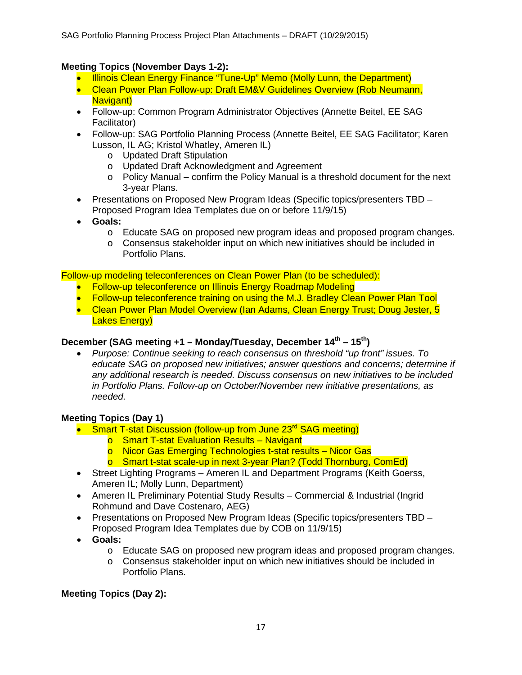## **Meeting Topics (November Days 1-2):**

- Illinois Clean Energy Finance "Tune-Up" Memo (Molly Lunn, the Department)
- Clean Power Plan Follow-up: Draft EM&V Guidelines Overview (Rob Neumann. Navigant)
- Follow-up: Common Program Administrator Objectives (Annette Beitel, EE SAG Facilitator)
- Follow-up: SAG Portfolio Planning Process (Annette Beitel, EE SAG Facilitator; Karen Lusson, IL AG; Kristol Whatley, Ameren IL)
	- o Updated Draft Stipulation
	- o Updated Draft Acknowledgment and Agreement
	- $\circ$  Policy Manual confirm the Policy Manual is a threshold document for the next 3-year Plans.
- Presentations on Proposed New Program Ideas (Specific topics/presenters TBD Proposed Program Idea Templates due on or before 11/9/15)
- **Goals:**
	- o Educate SAG on proposed new program ideas and proposed program changes.
	- o Consensus stakeholder input on which new initiatives should be included in Portfolio Plans.

Follow-up modeling teleconferences on Clean Power Plan (to be scheduled):

- Follow-up teleconference on Illinois Energy Roadmap Modeling
- Follow-up teleconference training on using the M.J. Bradley Clean Power Plan Tool
- Clean Power Plan Model Overview (Ian Adams, Clean Energy Trust; Doug Jester, 5 Lakes Energy)

# **December (SAG meeting +1 – Monday/Tuesday, December 14th – 15th)**

• *Purpose: Continue seeking to reach consensus on threshold "up front" issues. To educate SAG on proposed new initiatives; answer questions and concerns; determine if any additional research is needed. Discuss consensus on new initiatives to be included in Portfolio Plans. Follow-up on October/November new initiative presentations, as needed.*

## **Meeting Topics (Day 1)**

- Smart T-stat Discussion (follow-up from June 23<sup>rd</sup> SAG meeting)
	- o Smart T-stat Evaluation Results Navigant
	- o Nicor Gas Emerging Technologies t-stat results Nicor Gas
	- o Smart t-stat scale-up in next 3-year Plan? (Todd Thornburg, ComEd)
- Street Lighting Programs Ameren IL and Department Programs (Keith Goerss, Ameren IL; Molly Lunn, Department)
- Ameren IL Preliminary Potential Study Results Commercial & Industrial (Ingrid Rohmund and Dave Costenaro, AEG)
- Presentations on Proposed New Program Ideas (Specific topics/presenters TBD Proposed Program Idea Templates due by COB on 11/9/15)
- **Goals:**
	- o Educate SAG on proposed new program ideas and proposed program changes.
	- o Consensus stakeholder input on which new initiatives should be included in Portfolio Plans.

## **Meeting Topics (Day 2):**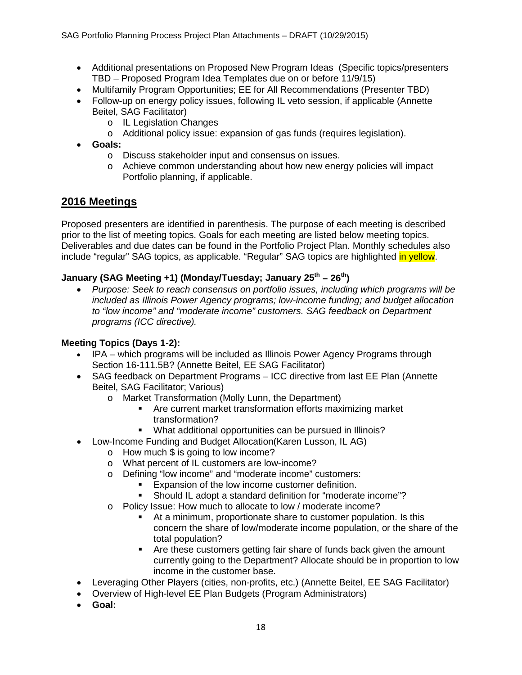- Additional presentations on Proposed New Program Ideas (Specific topics/presenters TBD – Proposed Program Idea Templates due on or before 11/9/15)
- Multifamily Program Opportunities; EE for All Recommendations (Presenter TBD)
- Follow-up on energy policy issues, following IL veto session, if applicable (Annette Beitel, SAG Facilitator)
	- o IL Legislation Changes
	- o Additional policy issue: expansion of gas funds (requires legislation).
- **Goals:**
	- o Discuss stakeholder input and consensus on issues.
	- o Achieve common understanding about how new energy policies will impact Portfolio planning, if applicable.

# **2016 Meetings**

Proposed presenters are identified in parenthesis. The purpose of each meeting is described prior to the list of meeting topics. Goals for each meeting are listed below meeting topics. Deliverables and due dates can be found in the Portfolio Project Plan. Monthly schedules also include "regular" SAG topics, as applicable. "Regular" SAG topics are highlighted in yellow.

## **January (SAG Meeting +1) (Monday/Tuesday; January 25th – 26th)**

• *Purpose: Seek to reach consensus on portfolio issues, including which programs will be included as Illinois Power Agency programs; low-income funding; and budget allocation to "low income" and "moderate income" customers. SAG feedback on Department programs (ICC directive).*

### **Meeting Topics (Days 1-2):**

- IPA which programs will be included as Illinois Power Agency Programs through Section 16-111.5B? (Annette Beitel, EE SAG Facilitator)
- SAG feedback on Department Programs ICC directive from last EE Plan (Annette Beitel, SAG Facilitator; Various)
	- o Market Transformation (Molly Lunn, the Department)
		- Are current market transformation efforts maximizing market transformation?
		- What additional opportunities can be pursued in Illinois?
- Low-Income Funding and Budget Allocation(Karen Lusson, IL AG)
	- o How much \$ is going to low income?
	- o What percent of IL customers are low-income?
	- o Defining "low income" and "moderate income" customers:
		- Expansion of the low income customer definition.
		- Should IL adopt a standard definition for "moderate income"?
	- o Policy Issue: How much to allocate to low / moderate income?
		- At a minimum, proportionate share to customer population. Is this concern the share of low/moderate income population, or the share of the total population?
		- Are these customers getting fair share of funds back given the amount currently going to the Department? Allocate should be in proportion to low income in the customer base.
- Leveraging Other Players (cities, non-profits, etc.) (Annette Beitel, EE SAG Facilitator)
- Overview of High-level EE Plan Budgets (Program Administrators)
- **Goal:**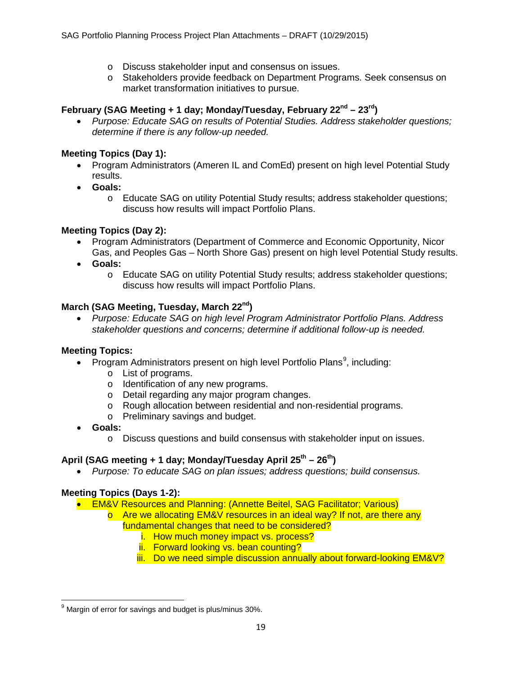- o Discuss stakeholder input and consensus on issues.
- o Stakeholders provide feedback on Department Programs. Seek consensus on market transformation initiatives to pursue.

### **February (SAG Meeting + 1 day; Monday/Tuesday, February 22nd – 23rd)**

• *Purpose: Educate SAG on results of Potential Studies. Address stakeholder questions; determine if there is any follow-up needed.* 

### **Meeting Topics (Day 1):**

- Program Administrators (Ameren IL and ComEd) present on high level Potential Study results.
- **Goals:**
	- o Educate SAG on utility Potential Study results; address stakeholder questions; discuss how results will impact Portfolio Plans.

## **Meeting Topics (Day 2):**

- Program Administrators (Department of Commerce and Economic Opportunity, Nicor Gas, and Peoples Gas – North Shore Gas) present on high level Potential Study results.
- **Goals:**
	- o Educate SAG on utility Potential Study results; address stakeholder questions; discuss how results will impact Portfolio Plans.

### **March (SAG Meeting, Tuesday, March 22nd)**

• *Purpose: Educate SAG on high level Program Administrator Portfolio Plans. Address stakeholder questions and concerns; determine if additional follow-up is needed.*

### **Meeting Topics:**

- Program Administrators present on high level Portfolio Plans<sup>[9](#page-18-0)</sup>, including:
	- o List of programs.
	- o Identification of any new programs.
	- o Detail regarding any major program changes.
	- o Rough allocation between residential and non-residential programs.
	- o Preliminary savings and budget.
- **Goals:**
	- o Discuss questions and build consensus with stakeholder input on issues.

### **April (SAG meeting + 1 day; Monday/Tuesday April 25th – 26th)**

• *Purpose: To educate SAG on plan issues; address questions; build consensus.*

### **Meeting Topics (Days 1-2):**

- EM&V Resources and Planning: (Annette Beitel, SAG Facilitator; Various)
	- o Are we allocating EM&V resources in an ideal way? If not, are there any fundamental changes that need to be considered?
		- i. How much money impact vs. process?
		- ii. Forward looking vs. bean counting?
		- iii. Do we need simple discussion annually about forward-looking EM&V?

<span id="page-18-0"></span> $9$  Margin of error for savings and budget is plus/minus 30%.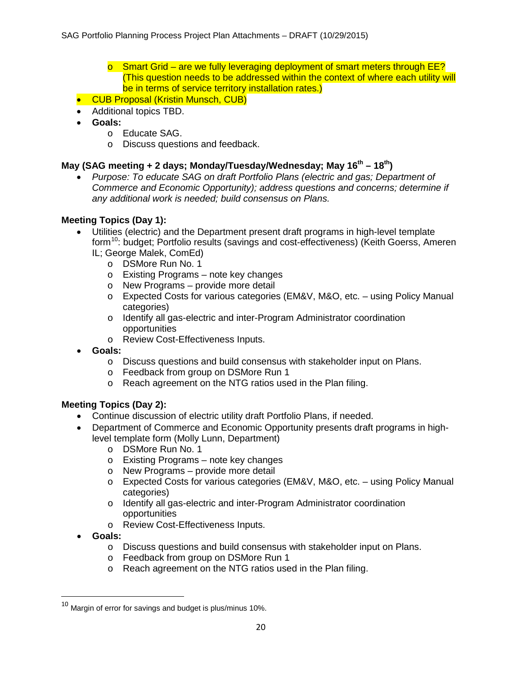- $\circ$  Smart Grid are we fully leveraging deployment of smart meters through EE? (This question needs to be addressed within the context of where each utility will be in terms of service territory installation rates.)
- CUB Proposal (Kristin Munsch, CUB)
- Additional topics TBD.
- **Goals:**
	- o Educate SAG.
	- o Discuss questions and feedback.

## **May (SAG meeting + 2 days; Monday/Tuesday/Wednesday; May 16th – 18th)**

• *Purpose: To educate SAG on draft Portfolio Plans (electric and gas; Department of Commerce and Economic Opportunity); address questions and concerns; determine if any additional work is needed; build consensus on Plans.*

## **Meeting Topics (Day 1):**

- Utilities (electric) and the Department present draft programs in high-level template form<sup>[10](#page-19-0)</sup>: budget; Portfolio results (savings and cost-effectiveness) (Keith Goerss, Ameren IL; George Malek, ComEd)
	- o DSMore Run No. 1
	- o Existing Programs note key changes
	- o New Programs provide more detail
	- o Expected Costs for various categories (EM&V, M&O, etc. using Policy Manual categories)
	- o Identify all gas-electric and inter-Program Administrator coordination opportunities
	- o Review Cost-Effectiveness Inputs.
- **Goals:**
	- o Discuss questions and build consensus with stakeholder input on Plans.
	- o Feedback from group on DSMore Run 1
	- o Reach agreement on the NTG ratios used in the Plan filing.

## **Meeting Topics (Day 2):**

- Continue discussion of electric utility draft Portfolio Plans, if needed.
- Department of Commerce and Economic Opportunity presents draft programs in highlevel template form (Molly Lunn, Department)
	- o DSMore Run No. 1
	- o Existing Programs note key changes
	- o New Programs provide more detail
	- o Expected Costs for various categories (EM&V, M&O, etc. using Policy Manual categories)
	- o Identify all gas-electric and inter-Program Administrator coordination opportunities
	- o Review Cost-Effectiveness Inputs.
- **Goals:**
	- o Discuss questions and build consensus with stakeholder input on Plans.
	- o Feedback from group on DSMore Run 1
	- o Reach agreement on the NTG ratios used in the Plan filing.

<span id="page-19-0"></span> $^{10}$  Margin of error for savings and budget is plus/minus 10%.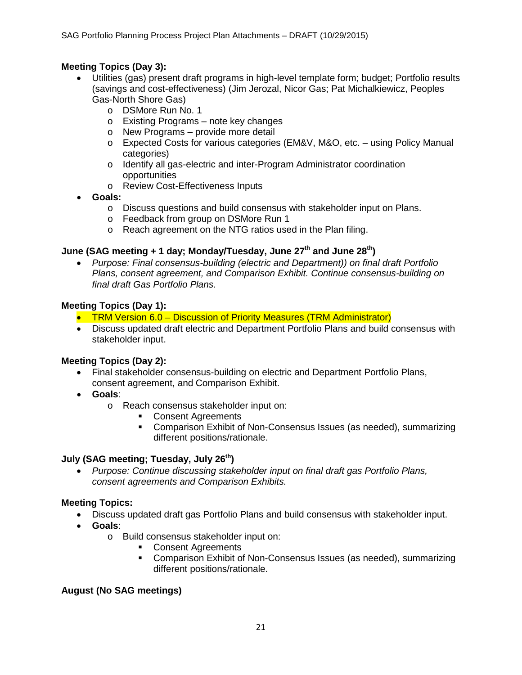## **Meeting Topics (Day 3):**

- Utilities (gas) present draft programs in high-level template form; budget; Portfolio results (savings and cost-effectiveness) (Jim Jerozal, Nicor Gas; Pat Michalkiewicz, Peoples Gas-North Shore Gas)
	- o DSMore Run No. 1
	- o Existing Programs note key changes
	- o New Programs provide more detail
	- o Expected Costs for various categories (EM&V, M&O, etc. using Policy Manual categories)
	- o Identify all gas-electric and inter-Program Administrator coordination opportunities
	- o Review Cost-Effectiveness Inputs
- **Goals:**
	- o Discuss questions and build consensus with stakeholder input on Plans.
	- o Feedback from group on DSMore Run 1
	- o Reach agreement on the NTG ratios used in the Plan filing.

## **June (SAG meeting + 1 day; Monday/Tuesday, June 27th and June 28th)**

• *Purpose: Final consensus-building (electric and Department)) on final draft Portfolio Plans, consent agreement, and Comparison Exhibit. Continue consensus-building on final draft Gas Portfolio Plans.*

## **Meeting Topics (Day 1):**

- TRM Version 6.0 Discussion of Priority Measures (TRM Administrator)
- Discuss updated draft electric and Department Portfolio Plans and build consensus with stakeholder input.

## **Meeting Topics (Day 2):**

- Final stakeholder consensus-building on electric and Department Portfolio Plans, consent agreement, and Comparison Exhibit.
- **Goals**:
	- o Reach consensus stakeholder input on:
		- Consent Agreements
		- Comparison Exhibit of Non-Consensus Issues (as needed), summarizing different positions/rationale.

### **July (SAG meeting; Tuesday, July 26th)**

• *Purpose: Continue discussing stakeholder input on final draft gas Portfolio Plans, consent agreements and Comparison Exhibits.*

### **Meeting Topics:**

- Discuss updated draft gas Portfolio Plans and build consensus with stakeholder input.
- **Goals**:
	- o Build consensus stakeholder input on:
		- **Consent Agreements**
		- **Comparison Exhibit of Non-Consensus Issues (as needed), summarizing** different positions/rationale.

### **August (No SAG meetings)**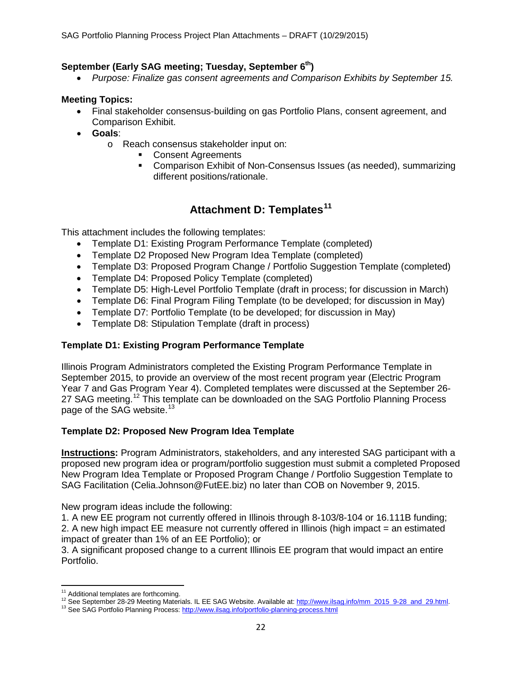## September (Early SAG meeting; Tuesday, September 6<sup>th</sup>)

• *Purpose: Finalize gas consent agreements and Comparison Exhibits by September 15.*

### **Meeting Topics:**

- Final stakeholder consensus-building on gas Portfolio Plans, consent agreement, and Comparison Exhibit.
- **Goals**:
	- o Reach consensus stakeholder input on:
		- **Consent Agreements**<br>**Comparison Exhibit of**
		- Comparison Exhibit of Non-Consensus Issues (as needed), summarizing different positions/rationale.

# **Attachment D: Templates[11](#page-21-0)**

This attachment includes the following templates:

- Template D1: Existing Program Performance Template (completed)
- Template D2 Proposed New Program Idea Template (completed)
- Template D3: Proposed Program Change / Portfolio Suggestion Template (completed)
- Template D4: Proposed Policy Template (completed)
- Template D5: High-Level Portfolio Template (draft in process; for discussion in March)
- Template D6: Final Program Filing Template (to be developed; for discussion in May)
- Template D7: Portfolio Template (to be developed; for discussion in May)
- Template D8: Stipulation Template (draft in process)

## **Template D1: Existing Program Performance Template**

Illinois Program Administrators completed the Existing Program Performance Template in September 2015, to provide an overview of the most recent program year (Electric Program Year 7 and Gas Program Year 4). Completed templates were discussed at the September 26- 27 SAG meeting.<sup>[12](#page-21-1)</sup> This template can be downloaded on the SAG Portfolio Planning Process page of the SAG website.<sup>[13](#page-21-2)</sup>

## **Template D2: Proposed New Program Idea Template**

**Instructions:** Program Administrators, stakeholders, and any interested SAG participant with a proposed new program idea or program/portfolio suggestion must submit a completed Proposed New Program Idea Template or Proposed Program Change / Portfolio Suggestion Template to SAG Facilitation (Celia.Johnson@FutEE.biz) no later than COB on November 9, 2015.

New program ideas include the following:

1. A new EE program not currently offered in Illinois through 8-103/8-104 or 16.111B funding; 2. A new high impact EE measure not currently offered in Illinois (high impact = an estimated impact of greater than 1% of an EE Portfolio); or

3. A significant proposed change to a current Illinois EE program that would impact an entire Portfolio.

l

<span id="page-21-1"></span><span id="page-21-0"></span><sup>&</sup>lt;sup>11</sup> Additional templates are forthcoming.<br><sup>12</sup> See September 28-29 Meeting Materials. IL EE SAG Website. Available at: [http://www.ilsag.info/mm\\_2015\\_9-28\\_and\\_29.html.](http://www.ilsag.info/mm_2015_9-28_and_29.html)<br><sup>13</sup> See SAG Portfolio Planning Process: http://www.il

<span id="page-21-2"></span>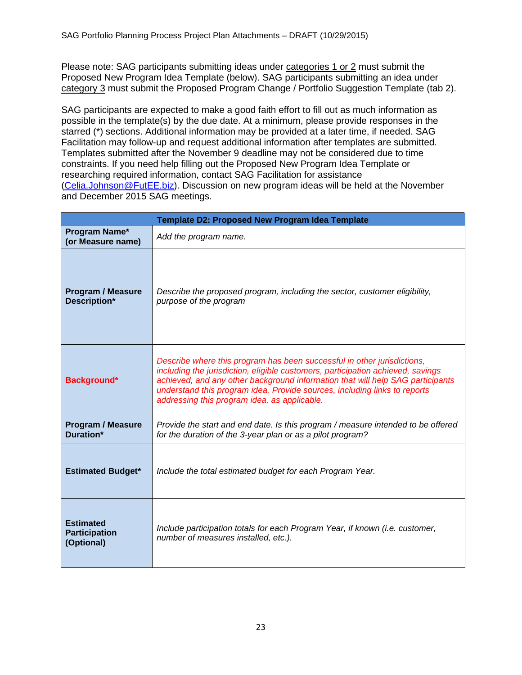Please note: SAG participants submitting ideas under categories 1 or 2 must submit the Proposed New Program Idea Template (below). SAG participants submitting an idea under category 3 must submit the Proposed Program Change / Portfolio Suggestion Template (tab 2).

SAG participants are expected to make a good faith effort to fill out as much information as possible in the template(s) by the due date. At a minimum, please provide responses in the starred (\*) sections. Additional information may be provided at a later time, if needed. SAG Facilitation may follow-up and request additional information after templates are submitted. Templates submitted after the November 9 deadline may not be considered due to time constraints. If you need help filling out the Proposed New Program Idea Template or researching required information, contact SAG Facilitation for assistance [\(Celia.Johnson@FutEE.biz\)](mailto:Celia.Johnson@FutEE.biz). Discussion on new program ideas will be held at the November and December 2015 SAG meetings.

|                                                        | <b>Template D2: Proposed New Program Idea Template</b>                                                                                                                                                                                                                                                                                                                    |
|--------------------------------------------------------|---------------------------------------------------------------------------------------------------------------------------------------------------------------------------------------------------------------------------------------------------------------------------------------------------------------------------------------------------------------------------|
| Program Name*<br>(or Measure name)                     | Add the program name.                                                                                                                                                                                                                                                                                                                                                     |
| <b>Program / Measure</b><br>Description*               | Describe the proposed program, including the sector, customer eligibility,<br>purpose of the program                                                                                                                                                                                                                                                                      |
| Background*                                            | Describe where this program has been successful in other jurisdictions,<br>including the jurisdiction, eligible customers, participation achieved, savings<br>achieved, and any other background information that will help SAG participants<br>understand this program idea. Provide sources, including links to reports<br>addressing this program idea, as applicable. |
| <b>Program / Measure</b><br>Duration*                  | Provide the start and end date. Is this program / measure intended to be offered<br>for the duration of the 3-year plan or as a pilot program?                                                                                                                                                                                                                            |
| <b>Estimated Budget*</b>                               | Include the total estimated budget for each Program Year.                                                                                                                                                                                                                                                                                                                 |
| <b>Estimated</b><br><b>Participation</b><br>(Optional) | Include participation totals for each Program Year, if known (i.e. customer,<br>number of measures installed, etc.).                                                                                                                                                                                                                                                      |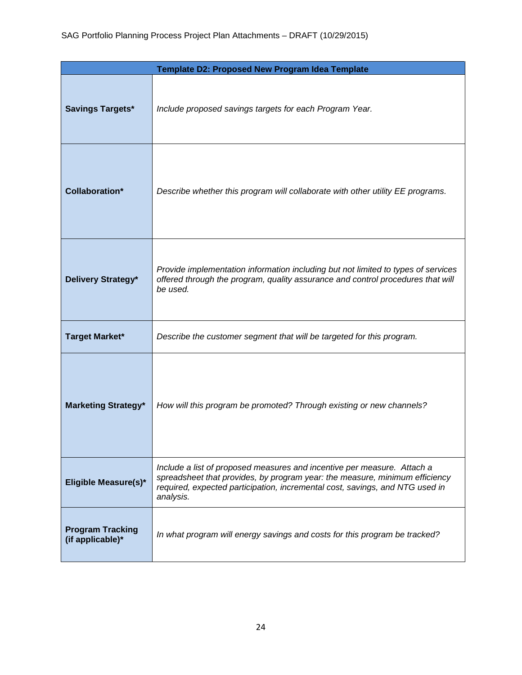|                                             | Template D2: Proposed New Program Idea Template                                                                                                                                                                                                     |
|---------------------------------------------|-----------------------------------------------------------------------------------------------------------------------------------------------------------------------------------------------------------------------------------------------------|
| <b>Savings Targets*</b>                     | Include proposed savings targets for each Program Year.                                                                                                                                                                                             |
| <b>Collaboration*</b>                       | Describe whether this program will collaborate with other utility EE programs.                                                                                                                                                                      |
| Delivery Strategy*                          | Provide implementation information including but not limited to types of services<br>offered through the program, quality assurance and control procedures that will<br>be used.                                                                    |
| <b>Target Market*</b>                       | Describe the customer segment that will be targeted for this program.                                                                                                                                                                               |
| <b>Marketing Strategy*</b>                  | How will this program be promoted? Through existing or new channels?                                                                                                                                                                                |
| Eligible Measure(s)*                        | Include a list of proposed measures and incentive per measure. Attach a<br>spreadsheet that provides, by program year: the measure, minimum efficiency<br>required, expected participation, incremental cost, savings, and NTG used in<br>analysis. |
| <b>Program Tracking</b><br>(if applicable)* | In what program will energy savings and costs for this program be tracked?                                                                                                                                                                          |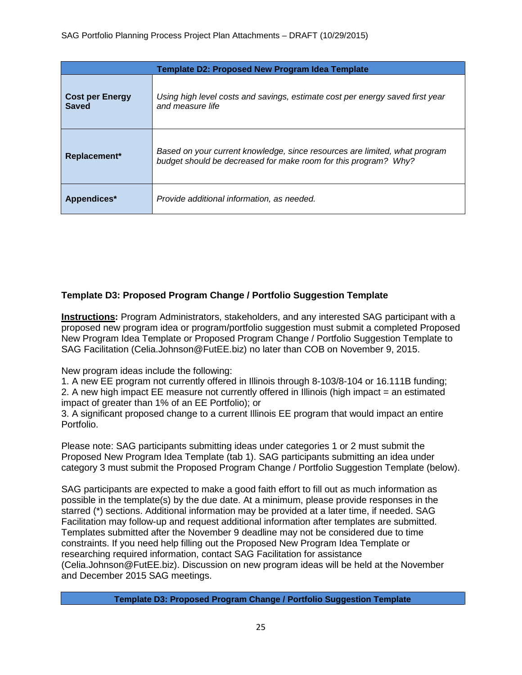| Template D2: Proposed New Program Idea Template |                                                                                                                                               |  |
|-------------------------------------------------|-----------------------------------------------------------------------------------------------------------------------------------------------|--|
| <b>Cost per Energy</b><br><b>Saved</b>          | Using high level costs and savings, estimate cost per energy saved first year<br>and measure life                                             |  |
| Replacement*                                    | Based on your current knowledge, since resources are limited, what program<br>budget should be decreased for make room for this program? Why? |  |
| Appendices*                                     | Provide additional information, as needed.                                                                                                    |  |

## **Template D3: Proposed Program Change / Portfolio Suggestion Template**

**Instructions:** Program Administrators, stakeholders, and any interested SAG participant with a proposed new program idea or program/portfolio suggestion must submit a completed Proposed New Program Idea Template or Proposed Program Change / Portfolio Suggestion Template to SAG Facilitation (Celia.Johnson@FutEE.biz) no later than COB on November 9, 2015.

New program ideas include the following:

1. A new EE program not currently offered in Illinois through 8-103/8-104 or 16.111B funding; 2. A new high impact EE measure not currently offered in Illinois (high impact = an estimated impact of greater than 1% of an EE Portfolio); or

3. A significant proposed change to a current Illinois EE program that would impact an entire Portfolio.

Please note: SAG participants submitting ideas under categories 1 or 2 must submit the Proposed New Program Idea Template (tab 1). SAG participants submitting an idea under category 3 must submit the Proposed Program Change / Portfolio Suggestion Template (below).

SAG participants are expected to make a good faith effort to fill out as much information as possible in the template(s) by the due date. At a minimum, please provide responses in the starred (\*) sections. Additional information may be provided at a later time, if needed. SAG Facilitation may follow-up and request additional information after templates are submitted. Templates submitted after the November 9 deadline may not be considered due to time constraints. If you need help filling out the Proposed New Program Idea Template or researching required information, contact SAG Facilitation for assistance (Celia.Johnson@FutEE.biz). Discussion on new program ideas will be held at the November and December 2015 SAG meetings.

**Template D3: Proposed Program Change / Portfolio Suggestion Template**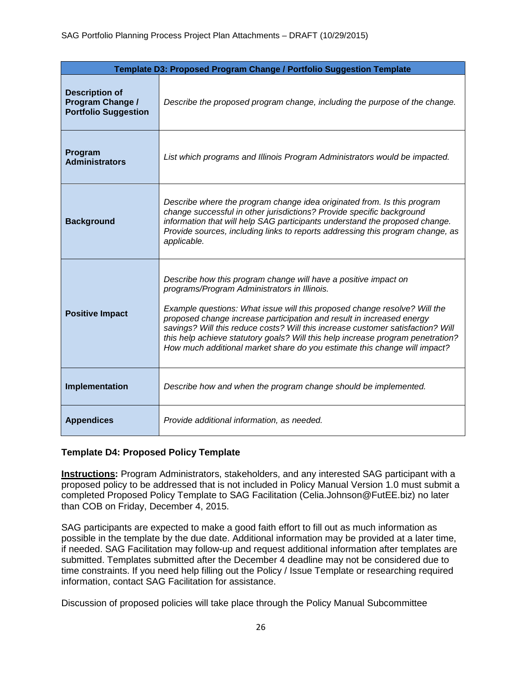|                                                                          | Template D3: Proposed Program Change / Portfolio Suggestion Template                                                                                                                                                                                                                                                                                                                                                                                                                                                     |
|--------------------------------------------------------------------------|--------------------------------------------------------------------------------------------------------------------------------------------------------------------------------------------------------------------------------------------------------------------------------------------------------------------------------------------------------------------------------------------------------------------------------------------------------------------------------------------------------------------------|
| <b>Description of</b><br>Program Change /<br><b>Portfolio Suggestion</b> | Describe the proposed program change, including the purpose of the change.                                                                                                                                                                                                                                                                                                                                                                                                                                               |
| Program<br><b>Administrators</b>                                         | List which programs and Illinois Program Administrators would be impacted.                                                                                                                                                                                                                                                                                                                                                                                                                                               |
| <b>Background</b>                                                        | Describe where the program change idea originated from. Is this program<br>change successful in other jurisdictions? Provide specific background<br>information that will help SAG participants understand the proposed change.<br>Provide sources, including links to reports addressing this program change, as<br>applicable.                                                                                                                                                                                         |
| <b>Positive Impact</b>                                                   | Describe how this program change will have a positive impact on<br>programs/Program Administrators in Illinois.<br>Example questions: What issue will this proposed change resolve? Will the<br>proposed change increase participation and result in increased energy<br>savings? Will this reduce costs? Will this increase customer satisfaction? Will<br>this help achieve statutory goals? Will this help increase program penetration?<br>How much additional market share do you estimate this change will impact? |
| Implementation                                                           | Describe how and when the program change should be implemented.                                                                                                                                                                                                                                                                                                                                                                                                                                                          |
| <b>Appendices</b>                                                        | Provide additional information, as needed.                                                                                                                                                                                                                                                                                                                                                                                                                                                                               |

## **Template D4: Proposed Policy Template**

**Instructions:** Program Administrators, stakeholders, and any interested SAG participant with a proposed policy to be addressed that is not included in Policy Manual Version 1.0 must submit a completed Proposed Policy Template to SAG Facilitation (Celia.Johnson@FutEE.biz) no later than COB on Friday, December 4, 2015.

SAG participants are expected to make a good faith effort to fill out as much information as possible in the template by the due date. Additional information may be provided at a later time, if needed. SAG Facilitation may follow-up and request additional information after templates are submitted. Templates submitted after the December 4 deadline may not be considered due to time constraints. If you need help filling out the Policy / Issue Template or researching required information, contact SAG Facilitation for assistance.

Discussion of proposed policies will take place through the Policy Manual Subcommittee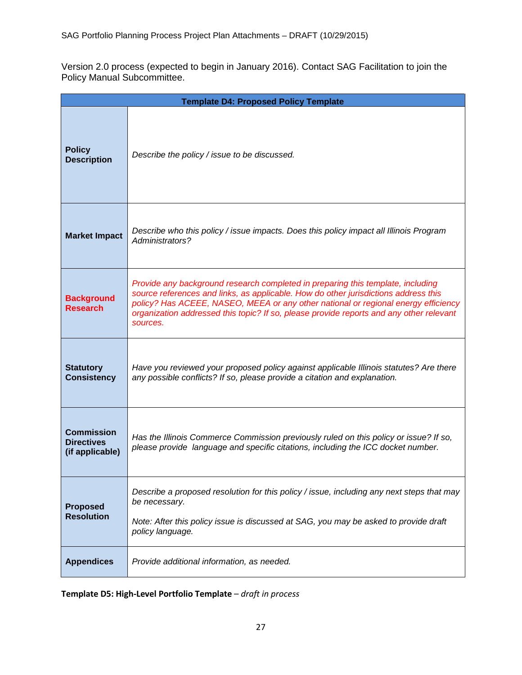Version 2.0 process (expected to begin in January 2016). Contact SAG Facilitation to join the Policy Manual Subcommittee.

|                                                           | <b>Template D4: Proposed Policy Template</b>                                                                                                                                                                                                                                                                                                                        |
|-----------------------------------------------------------|---------------------------------------------------------------------------------------------------------------------------------------------------------------------------------------------------------------------------------------------------------------------------------------------------------------------------------------------------------------------|
| <b>Policy</b><br><b>Description</b>                       | Describe the policy / issue to be discussed.                                                                                                                                                                                                                                                                                                                        |
| <b>Market Impact</b>                                      | Describe who this policy / issue impacts. Does this policy impact all Illinois Program<br>Administrators?                                                                                                                                                                                                                                                           |
| <b>Background</b><br><b>Research</b>                      | Provide any background research completed in preparing this template, including<br>source references and links, as applicable. How do other jurisdictions address this<br>policy? Has ACEEE, NASEO, MEEA or any other national or regional energy efficiency<br>organization addressed this topic? If so, please provide reports and any other relevant<br>sources. |
| <b>Statutory</b><br><b>Consistency</b>                    | Have you reviewed your proposed policy against applicable Illinois statutes? Are there<br>any possible conflicts? If so, please provide a citation and explanation.                                                                                                                                                                                                 |
| <b>Commission</b><br><b>Directives</b><br>(if applicable) | Has the Illinois Commerce Commission previously ruled on this policy or issue? If so,<br>please provide language and specific citations, including the ICC docket number.                                                                                                                                                                                           |
| <b>Proposed</b><br><b>Resolution</b>                      | Describe a proposed resolution for this policy / issue, including any next steps that may<br>be necessary.<br>Note: After this policy issue is discussed at SAG, you may be asked to provide draft<br>policy language.                                                                                                                                              |
| <b>Appendices</b>                                         | Provide additional information, as needed.                                                                                                                                                                                                                                                                                                                          |

**Template D5: High-Level Portfolio Template** – *draft in process*